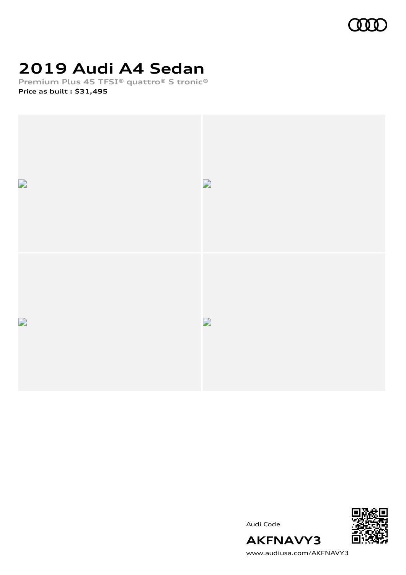

# **2019 Audi A4 Sedan**

**Premium Plus 45 TFSI® quattro® S tronic® Price as built [:](#page-8-0) \$31,495**



Audi Code



[www.audiusa.com/AKFNAVY3](https://www.audiusa.com/AKFNAVY3)

**AKFNAVY3**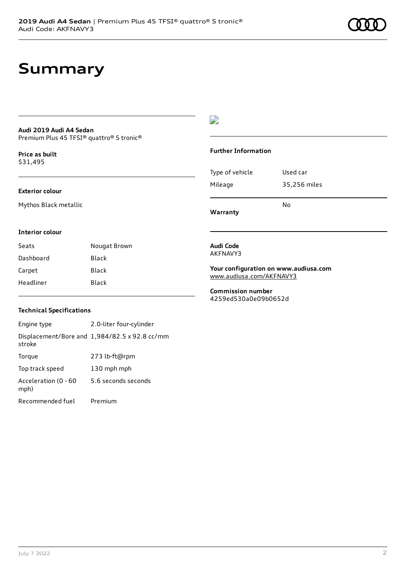## **Summary**

#### **Audi 2019 Audi A4 Sedan** Premium Plus 45 TFSI® quattro® S tronic®

**Price as buil[t](#page-8-0)** \$31,495

### **Exterior colour**

Mythos Black metallic

## D

### **Further Information**

|                 | N٥           |
|-----------------|--------------|
| Mileage         | 35,256 miles |
| Type of vehicle | Used car     |

**Warranty**

### **Interior colour**

| Seats     | Nougat Brown |
|-----------|--------------|
| Dashboard | Black        |
| Carpet    | Black        |
| Headliner | Black        |

#### **Audi Code** AKFNAVY3

**Your configuration on www.audiusa.com** [www.audiusa.com/AKFNAVY3](https://www.audiusa.com/AKFNAVY3)

**Commission number** 4259ed530a0e09b0652d

## **Technical Specifications**

Engine type 2.0-liter four-cylinder Displacement/Bore and 1,984/82.5 x 92.8 cc/mm stroke Torque 273 lb-ft@rpm Top track speed 130 mph mph Acceleration (0 - 60 mph) 5.6 seconds seconds Recommended fuel Premium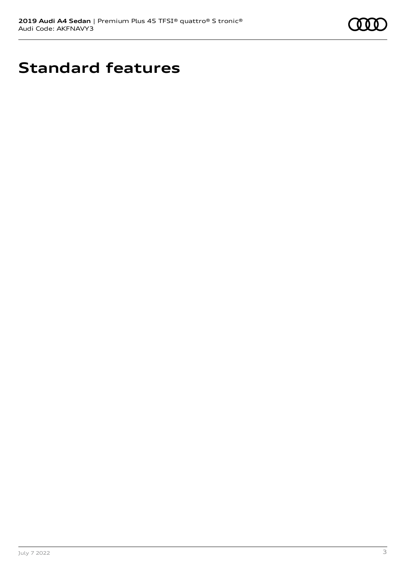

# **Standard features**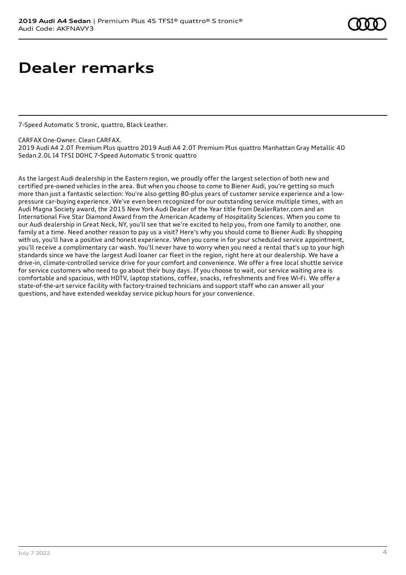# **Dealer remarks**

7-Speed Automatic S tronic, quattro, Black Leather.

CARFAX One-Owner. Clean CARFAX.

2019 Audi A4 2.0T Premium Plus quattro 2019 Audi A4 2.0T Premium Plus quattro Manhattan Gray Metallic 4D Sedan 2.0L I4 TFSI DOHC 7-Speed Automatic S tronic quattro

As the largest Audi dealership in the Eastern region, we proudly offer the largest selection of both new and certified pre-owned vehicles in the area. But when you choose to come to Biener Audi, you're getting so much more than just a fantastic selection: You're also getting 80-plus years of customer service experience and a lowpressure car-buying experience. We've even been recognized for our outstanding service multiple times, with an Audi Magna Society award, the 2015 New York Audi Dealer of the Year title from DealerRater.com and an International Five Star Diamond Award from the American Academy of Hospitality Sciences. When you come to our Audi dealership in Great Neck, NY, you'll see that we're excited to help you, from one family to another, one family at a time. Need another reason to pay us a visit? Here's why you should come to Biener Audi: By shopping with us, you'll have a positive and honest experience. When you come in for your scheduled service appointment, you'll receive a complimentary car wash. You'll never have to worry when you need a rental that's up to your high standards since we have the largest Audi loaner car fleet in the region, right here at our dealership. We have a drive-in, climate-controlled service drive for your comfort and convenience. We offer a free local shuttle service for service customers who need to go about their busy days. If you choose to wait, our service waiting area is comfortable and spacious, with HDTV, laptop stations, coffee, snacks, refreshments and free Wi-Fi. We offer a state-of-the-art service facility with factory-trained technicians and support staff who can answer all your questions, and have extended weekday service pickup hours for your convenience.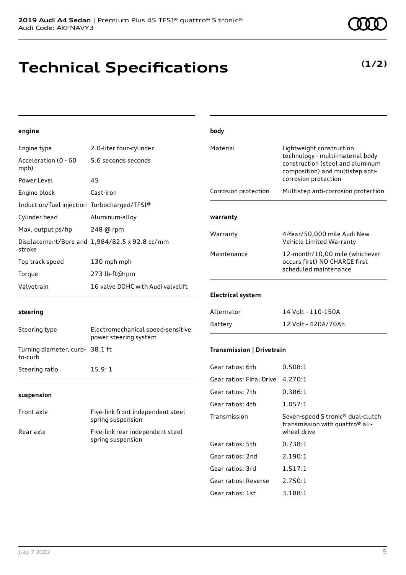## **Technical Specifications**

## **(1/2)**

## **engine**

| Engine type                                 | 2.0-liter four-cylinder                       |
|---------------------------------------------|-----------------------------------------------|
| Acceleration (0 - 60<br>mph)                | 5.6 seconds seconds                           |
| Power Level                                 | 45                                            |
| Engine block                                | Cast-iron                                     |
| Induction/fuel injection Turbocharged/TFSI® |                                               |
| Cylinder head                               | Aluminum-alloy                                |
| Max. output ps/hp 248 @ rpm                 |                                               |
| stroke                                      | Displacement/Bore and 1,984/82.5 x 92.8 cc/mm |
| Top track speed                             | 130 mph mph                                   |
| Torque                                      | 273 lb-ft@rpm                                 |
| Valvetrain                                  | 16 valve DOHC with Audi valvelift             |

| body                      |                                                                                                                                                              |  |
|---------------------------|--------------------------------------------------------------------------------------------------------------------------------------------------------------|--|
| Material                  | Lightweight construction<br>technology - multi-material body<br>construction (steel and aluminum<br>composition) and multistep anti-<br>corrosion protection |  |
| Corrosion protection      | Multistep anti-corrosion protection                                                                                                                          |  |
| warranty                  |                                                                                                                                                              |  |
| Warranty                  | 4-Year/50,000 mile Audi New<br>Vehicle Limited Warranty                                                                                                      |  |
| Maintenance               | 12-month/10,00 mile (whichever<br>occurs first) NO CHARGE first<br>scheduled maintenance                                                                     |  |
| <b>Electrical system</b>  |                                                                                                                                                              |  |
| Alternator                | 14 Volt - 110-150A                                                                                                                                           |  |
| Battery                   | 12 Volt - 420A/70Ah                                                                                                                                          |  |
| Transmission   Drivetrain |                                                                                                                                                              |  |
| Gear ratios: 6th          | 0.508:1                                                                                                                                                      |  |
| Gear ratios: Final Drive  | 4.270:1                                                                                                                                                      |  |
| Gear ratios: 7th          | 0.386:1                                                                                                                                                      |  |

## **suspension**

Turning diameter, curb-38.1 ft

Steering ratio 15.9:1

**steering**

to-curb

| Front axle | Five-link front independent steel<br>spring suspension |
|------------|--------------------------------------------------------|
| Rear axle  | Five-link rear independent steel<br>spring suspension  |

Steering type Electromechanical speed-sensitive

power steering system

| Gear ratios: Final Drive | 4.270:1                                                                                                     |
|--------------------------|-------------------------------------------------------------------------------------------------------------|
| Gear ratios: 7th         | 0.386:1                                                                                                     |
| Gear ratios: 4th         | 1.057:1                                                                                                     |
| Transmission             | Seven-speed S tronic <sup>®</sup> dual-clutch<br>transmission with quattro <sup>®</sup> all-<br>wheel drive |
| Gear ratios: 5th         | 0.738:1                                                                                                     |
| Gear ratios: 2nd         | 2.190:1                                                                                                     |
| Gear ratios: 3rd         | 1.517:1                                                                                                     |
| Gear ratios: Reverse     | 2.750:1                                                                                                     |
| Gear ratios: 1st         | 3.188:1                                                                                                     |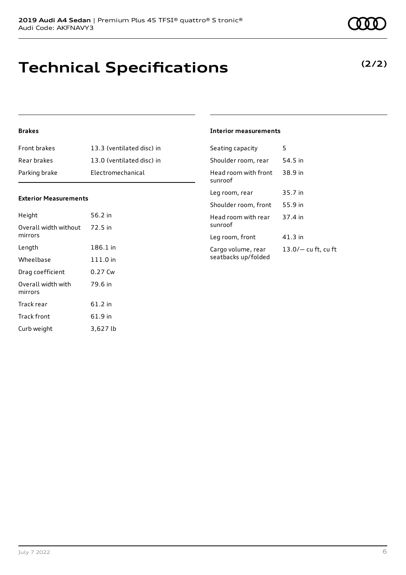# **Technical Specifications**

## **Brakes**

| <b>Front brakes</b> | 13.3 (ventilated disc) in |
|---------------------|---------------------------|
| Rear brakes         | 13.0 (ventilated disc) in |
| Parking brake       | Electromechanical         |

## **Exterior Measurements**

| Height                           | 56.2 in  |
|----------------------------------|----------|
| Overall width without<br>mirrors | 72.5 in  |
| Length                           | 186.1 in |
| Wheelbase                        | 111.0 in |
| Drag coefficient                 | 0.27 Cw  |
| Overall width with<br>mirrors    | 79.6 in  |
| Track rear                       | 61.2 in  |
| Track front                      | 61.9 in  |
| Curb weight                      | 3,627 lb |

## **Interior measurements**

| Seating capacity                          | 5                     |
|-------------------------------------------|-----------------------|
| Shoulder room, rear                       | 54.5 in               |
| Head room with front<br>sunroof           | 38.9 in               |
| Leg room, rear                            | 35.7 in               |
| Shoulder room, front                      | 55.9 in               |
| Head room with rear<br>sunroof            | 37.4 in               |
| Leg room, front                           | 41.3 in               |
| Cargo volume, rear<br>seatbacks up/folded | $13.0/-$ cu ft, cu ft |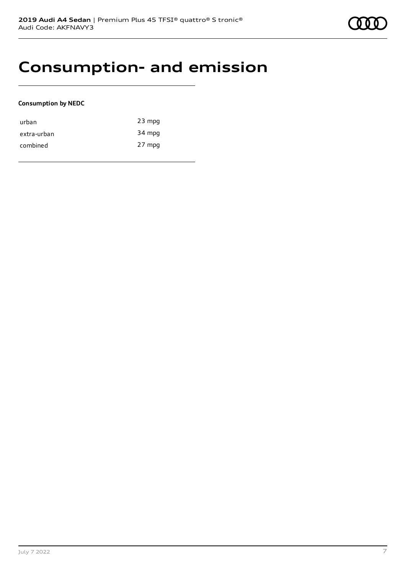## **Consumption- and emission**

### **Consumption by NEDC**

| urban       | $23$ mpg |
|-------------|----------|
| extra-urban | 34 mpg   |
| combined    | 27 mpg   |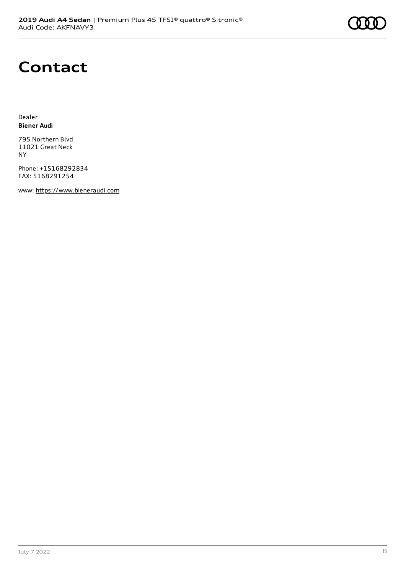## **Contact**

Dealer **Biener Audi**

795 Northern Blvd 11021 Great Neck NY

Phone: +15168292834 FAX: 5168291254

www: [https://www.bieneraudi.com](https://www.bieneraudi.com/)